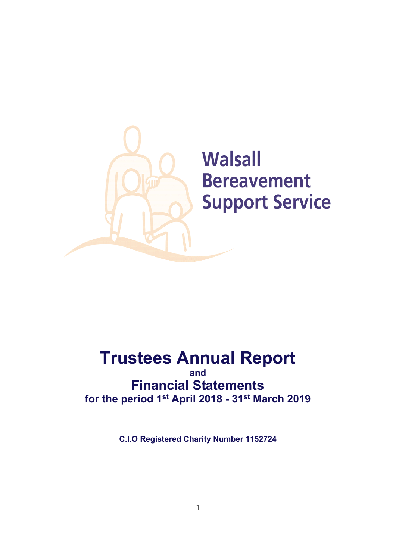

# **Trustees Annual Report**

**and Financial Statements for the period 1st April 2018 - 31st March 2019**

**C.I.O Registered Charity Number 1152724**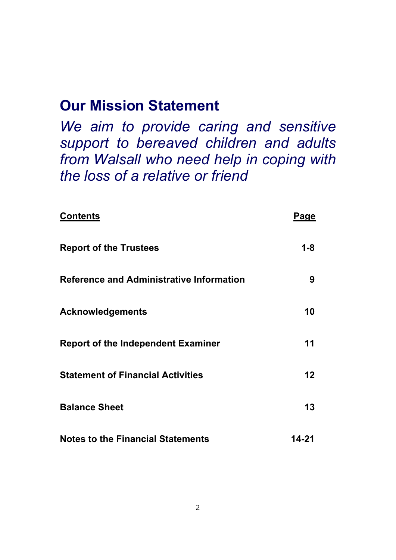# **Our Mission Statement**

*We aim to provide caring and sensitive support to bereaved children and adults from Walsall who need help in coping with the loss of a relative or friend*

| <b>Contents</b>                                 | Pa <u>ge</u>    |
|-------------------------------------------------|-----------------|
| <b>Report of the Trustees</b>                   | $1 - 8$         |
| <b>Reference and Administrative Information</b> | 9               |
| <b>Acknowledgements</b>                         | 10              |
| <b>Report of the Independent Examiner</b>       | 11              |
| <b>Statement of Financial Activities</b>        | 12 <sub>2</sub> |
| <b>Balance Sheet</b>                            | 13              |
| <b>Notes to the Financial Statements</b>        | 14-21           |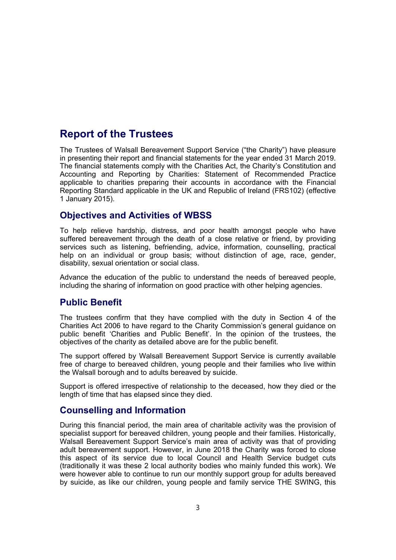## **Report of the Trustees**

The Trustees of Walsall Bereavement Support Service ("the Charity") have pleasure in presenting their report and financial statements for the year ended 31 March 2019. The financial statements comply with the Charities Act, the Charity's Constitution and Accounting and Reporting by Charities: Statement of Recommended Practice applicable to charities preparing their accounts in accordance with the Financial Reporting Standard applicable in the UK and Republic of Ireland (FRS102) (effective 1 January 2015).

### **Objectives and Activities of WBSS**

To help relieve hardship, distress, and poor health amongst people who have suffered bereavement through the death of a close relative or friend, by providing services such as listening, befriending, advice, information, counselling, practical help on an individual or group basis; without distinction of age, race, gender, disability, sexual orientation or social class.

Advance the education of the public to understand the needs of bereaved people, including the sharing of information on good practice with other helping agencies.

### **Public Benefit**

The trustees confirm that they have complied with the duty in Section 4 of the Charities Act 2006 to have regard to the Charity Commission's general guidance on public benefit 'Charities and Public Benefit'. In the opinion of the trustees, the objectives of the charity as detailed above are for the public benefit.

The support offered by Walsall Bereavement Support Service is currently available free of charge to bereaved children, young people and their families who live within the Walsall borough and to adults bereaved by suicide.

Support is offered irrespective of relationship to the deceased, how they died or the length of time that has elapsed since they died.

### **Counselling and Information**

During this financial period, the main area of charitable activity was the provision of specialist support for bereaved children, young people and their families. Historically, Walsall Bereavement Support Service's main area of activity was that of providing adult bereavement support. However, in June 2018 the Charity was forced to close this aspect of its service due to local Council and Health Service budget cuts (traditionally it was these 2 local authority bodies who mainly funded this work). We were however able to continue to run our monthly support group for adults bereaved by suicide, as like our children, young people and family service THE SWING, this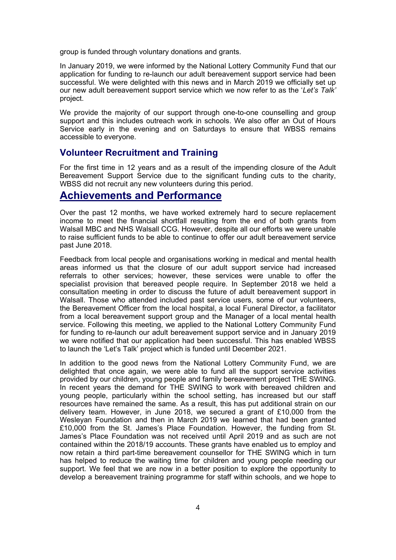group is funded through voluntary donations and grants.

In January 2019, we were informed by the National Lottery Community Fund that our application for funding to re-launch our adult bereavement support service had been successful. We were delighted with this news and in March 2019 we officially set up our new adult bereavement support service which we now refer to as the '*Let's Talk'*  project.

We provide the majority of our support through one-to-one counselling and group support and this includes outreach work in schools. We also offer an Out of Hours Service early in the evening and on Saturdays to ensure that WBSS remains accessible to everyone.

#### **Volunteer Recruitment and Training**

For the first time in 12 years and as a result of the impending closure of the Adult Bereavement Support Service due to the significant funding cuts to the charity, WBSS did not recruit any new volunteers during this period.

### **Achievements and Performance**

Over the past 12 months, we have worked extremely hard to secure replacement income to meet the financial shortfall resulting from the end of both grants from Walsall MBC and NHS Walsall CCG. However, despite all our efforts we were unable to raise sufficient funds to be able to continue to offer our adult bereavement service past June 2018.

Feedback from local people and organisations working in medical and mental health areas informed us that the closure of our adult support service had increased referrals to other services; however, these services were unable to offer the specialist provision that bereaved people require. In September 2018 we held a consultation meeting in order to discuss the future of adult bereavement support in Walsall. Those who attended included past service users, some of our volunteers, the Bereavement Officer from the local hospital, a local Funeral Director, a facilitator from a local bereavement support group and the Manager of a local mental health service. Following this meeting, we applied to the National Lottery Community Fund for funding to re-launch our adult bereavement support service and in January 2019 we were notified that our application had been successful. This has enabled WBSS to launch the 'Let's Talk' project which is funded until December 2021.

In addition to the good news from the National Lottery Community Fund, we are delighted that once again, we were able to fund all the support service activities provided by our children, young people and family bereavement project THE SWING. In recent years the demand for THE SWING to work with bereaved children and young people, particularly within the school setting, has increased but our staff resources have remained the same. As a result, this has put additional strain on our delivery team. However, in June 2018, we secured a grant of £10,000 from the Wesleyan Foundation and then in March 2019 we learned that had been granted £10,000 from the St. James's Place Foundation. However, the funding from St. James's Place Foundation was not received until April 2019 and as such are not contained within the 2018/19 accounts. These grants have enabled us to employ and now retain a third part-time bereavement counsellor for THE SWING which in turn has helped to reduce the waiting time for children and young people needing our support. We feel that we are now in a better position to explore the opportunity to develop a bereavement training programme for staff within schools, and we hope to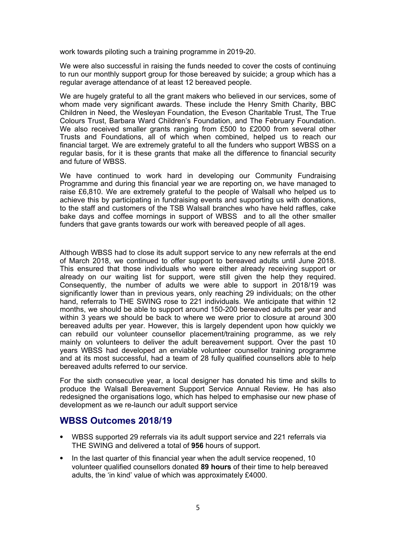work towards piloting such a training programme in 2019-20.

We were also successful in raising the funds needed to cover the costs of continuing to run our monthly support group for those bereaved by suicide; a group which has a regular average attendance of at least 12 bereaved people.

We are hugely grateful to all the grant makers who believed in our services, some of whom made very significant awards. These include the Henry Smith Charity, BBC Children in Need, the Wesleyan Foundation, the Eveson Charitable Trust, The True Colours Trust, Barbara Ward Children's Foundation, and The February Foundation. We also received smaller grants ranging from £500 to £2000 from several other Trusts and Foundations, all of which when combined, helped us to reach our financial target. We are extremely grateful to all the funders who support WBSS on a regular basis, for it is these grants that make all the difference to financial security and future of WBSS.

We have continued to work hard in developing our Community Fundraising Programme and during this financial year we are reporting on, we have managed to raise £6,810. We are extremely grateful to the people of Walsall who helped us to achieve this by participating in fundraising events and supporting us with donations, to the staff and customers of the TSB Walsall branches who have held raffles, cake bake days and coffee mornings in support of WBSS and to all the other smaller funders that gave grants towards our work with bereaved people of all ages.

Although WBSS had to close its adult support service to any new referrals at the end of March 2018, we continued to offer support to bereaved adults until June 2018. This ensured that those individuals who were either already receiving support or already on our waiting list for support, were still given the help they required. Consequently, the number of adults we were able to support in 2018/19 was significantly lower than in previous years, only reaching 29 individuals; on the other hand, referrals to THE SWING rose to 221 individuals. We anticipate that within 12 months, we should be able to support around 150-200 bereaved adults per year and within 3 years we should be back to where we were prior to closure at around 300 bereaved adults per year. However, this is largely dependent upon how quickly we can rebuild our volunteer counsellor placement/training programme, as we rely mainly on volunteers to deliver the adult bereavement support. Over the past 10 years WBSS had developed an enviable volunteer counsellor training programme and at its most successful, had a team of 28 fully qualified counsellors able to help bereaved adults referred to our service.

For the sixth consecutive year, a local designer has donated his time and skills to produce the Walsall Bereavement Support Service Annual Review. He has also redesigned the organisations logo, which has helped to emphasise our new phase of development as we re-launch our adult support service

#### **WBSS Outcomes 2018/19**

- ⦁ WBSS supported 29 referrals via its adult support service and 221 referrals via THE SWING and delivered a total of **956** hours of support.
- ⦁ In the last quarter of this financial year when the adult service reopened, 10 volunteer qualified counsellors donated **89 hours** of their time to help bereaved adults, the 'in kind' value of which was approximately £4000.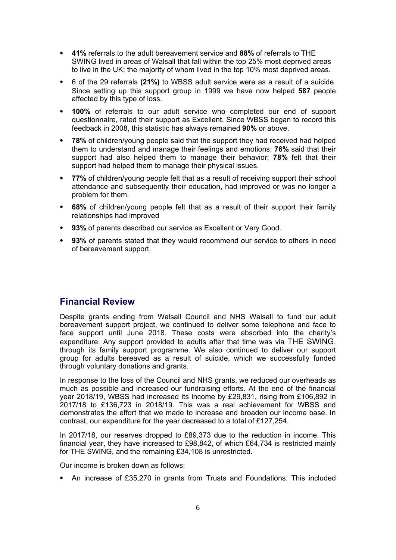- ⦁ **41%** referrals to the adult bereavement service and **88%** of referrals to THE SWING lived in areas of Walsall that fall within the top 25% most deprived areas to live in the UK; the majority of whom lived in the top 10% most deprived areas.
- ⦁ 6 of the 29 referrals **(21%)** to WBSS adult service were as a result of a suicide. Since setting up this support group in 1999 we have now helped **587** people affected by this type of loss.
- 100% of referrals to our adult service who completed our end of support questionnaire, rated their support as Excellent. Since WBSS began to record this feedback in 2008, this statistic has always remained **90%** or above.
- **78%** of children/young people said that the support they had received had helped them to understand and manage their feelings and emotions; **76%** said that their support had also helped them to manage their behavior; **78%** felt that their support had helped them to manage their physical issues.
- **77%** of children/young people felt that as a result of receiving support their school attendance and subsequently their education, had improved or was no longer a problem for them.
- ⦁ **68%** of children/young people felt that as a result of their support their family relationships had improved
- ⦁ **93%** of parents described our service as Excellent or Very Good.
- **93%** of parents stated that they would recommend our service to others in need of bereavement support.

### **Financial Review**

Despite grants ending from Walsall Council and NHS Walsall to fund our adult bereavement support project, we continued to deliver some telephone and face to face support until June 2018. These costs were absorbed into the charity's expenditure. Any support provided to adults after that time was via THE SWING, through its family support programme. We also continued to deliver our support group for adults bereaved as a result of suicide, which we successfully funded through voluntary donations and grants.

In response to the loss of the Council and NHS grants, we reduced our overheads as much as possible and increased our fundraising efforts. At the end of the financial year 2018/19, WBSS had increased its income by £29,831, rising from £106,892 in 2017/18 to £136,723 in 2018/19. This was a real achievement for WBSS and demonstrates the effort that we made to increase and broaden our income base. In contrast, our expenditure for the year decreased to a total of £127,254.

In 2017/18, our reserves dropped to £89,373 due to the reduction in income. This financial year, they have increased to £98,842, of which £64,734 is restricted mainly for THE SWING, and the remaining £34,108 is unrestricted.

Our income is broken down as follows:

⦁ An increase of £35,270 in grants from Trusts and Foundations. This included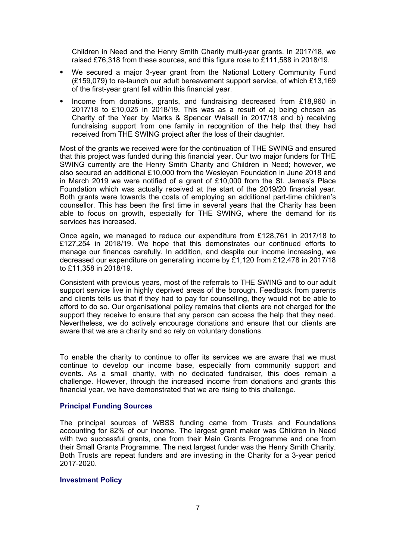Children in Need and the Henry Smith Charity multi-year grants. In 2017/18, we raised £76,318 from these sources, and this figure rose to £111,588 in 2018/19.

- ⦁ We secured a major 3-year grant from the National Lottery Community Fund (£159,079) to re-launch our adult bereavement support service, of which £13,169 of the first-year grant fell within this financial year.
- ⦁ Income from donations, grants, and fundraising decreased from £18,960 in 2017/18 to £10,025 in 2018/19. This was as a result of a) being chosen as Charity of the Year by Marks & Spencer Walsall in 2017/18 and b) receiving fundraising support from one family in recognition of the help that they had received from THE SWING project after the loss of their daughter.

Most of the grants we received were for the continuation of THE SWING and ensured that this project was funded during this financial year. Our two major funders for THE SWING currently are the Henry Smith Charity and Children in Need; however, we also secured an additional £10,000 from the Wesleyan Foundation in June 2018 and in March 2019 we were notified of a grant of £10,000 from the St. James's Place Foundation which was actually received at the start of the 2019/20 financial year. Both grants were towards the costs of employing an additional part-time children's counsellor. This has been the first time in several years that the Charity has been able to focus on growth, especially for THE SWING, where the demand for its services has increased.

Once again, we managed to reduce our expenditure from £128,761 in 2017/18 to £127,254 in 2018/19. We hope that this demonstrates our continued efforts to manage our finances carefully. In addition, and despite our income increasing, we decreased our expenditure on generating income by £1,120 from £12,478 in 2017/18 to £11,358 in 2018/19.

Consistent with previous years, most of the referrals to THE SWING and to our adult support service live in highly deprived areas of the borough. Feedback from parents and clients tells us that if they had to pay for counselling, they would not be able to afford to do so. Our organisational policy remains that clients are not charged for the support they receive to ensure that any person can access the help that they need. Nevertheless, we do actively encourage donations and ensure that our clients are aware that we are a charity and so rely on voluntary donations.

To enable the charity to continue to offer its services we are aware that we must continue to develop our income base, especially from community support and events. As a small charity, with no dedicated fundraiser, this does remain a challenge. However, through the increased income from donations and grants this financial year, we have demonstrated that we are rising to this challenge.

#### **Principal Funding Sources**

The principal sources of WBSS funding came from Trusts and Foundations accounting for 82% of our income. The largest grant maker was Children in Need with two successful grants, one from their Main Grants Programme and one from their Small Grants Programme. The next largest funder was the Henry Smith Charity. Both Trusts are repeat funders and are investing in the Charity for a 3-year period 2017-2020.

#### **Investment Policy**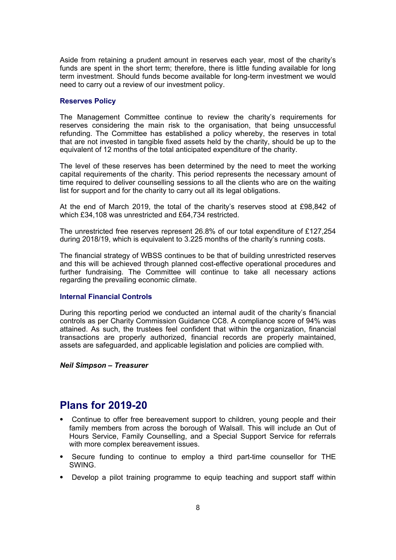Aside from retaining a prudent amount in reserves each year, most of the charity's funds are spent in the short term; therefore, there is little funding available for long term investment. Should funds become available for long-term investment we would need to carry out a review of our investment policy.

#### **Reserves Policy**

The Management Committee continue to review the charity's requirements for reserves considering the main risk to the organisation, that being unsuccessful refunding. The Committee has established a policy whereby, the reserves in total that are not invested in tangible fixed assets held by the charity, should be up to the equivalent of 12 months of the total anticipated expenditure of the charity.

The level of these reserves has been determined by the need to meet the working capital requirements of the charity. This period represents the necessary amount of time required to deliver counselling sessions to all the clients who are on the waiting list for support and for the charity to carry out all its legal obligations.

At the end of March 2019, the total of the charity's reserves stood at £98,842 of which £34,108 was unrestricted and £64,734 restricted.

The unrestricted free reserves represent 26.8% of our total expenditure of £127,254 during 2018/19, which is equivalent to 3.225 months of the charity's running costs.

The financial strategy of WBSS continues to be that of building unrestricted reserves and this will be achieved through planned cost-effective operational procedures and further fundraising. The Committee will continue to take all necessary actions regarding the prevailing economic climate.

#### **Internal Financial Controls**

During this reporting period we conducted an internal audit of the charity's financial controls as per Charity Commission Guidance CC8. A compliance score of 94% was attained. As such, the trustees feel confident that within the organization, financial transactions are properly authorized, financial records are properly maintained, assets are safeguarded, and applicable legislation and policies are complied with.

#### *Neil Simpson – Treasurer*

### **Plans for 2019-20**

- ⦁ Continue to offer free bereavement support to children, young people and their family members from across the borough of Walsall. This will include an Out of Hours Service, Family Counselling, and a Special Support Service for referrals with more complex bereavement issues.
- ⦁ Secure funding to continue to employ a third part-time counsellor for THE **SWING**
- ⦁ Develop a pilot training programme to equip teaching and support staff within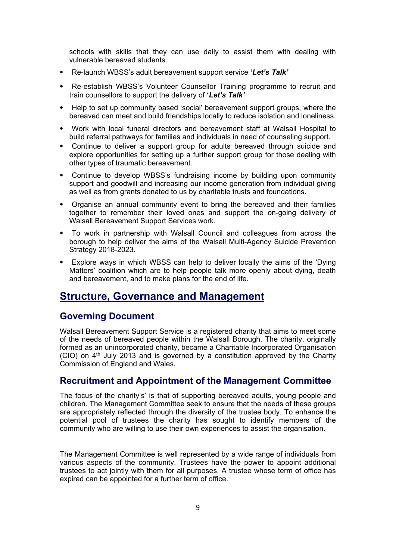schools with skills that they can use daily to assist them with dealing with vulnerable bereaved students.

- ⦁ Re-launch WBSS's adult bereavement support service **'***Let's Talk'*
- ⦁ Re-establish WBSS's Volunteer Counsellor Training programme to recruit and train counsellors to support the delivery of **'***Let's Talk'*
- ⦁ Help to set up community based 'social' bereavement support groups, where the bereaved can meet and build friendships locally to reduce isolation and loneliness.
- ⦁ Work with local funeral directors and bereavement staff at Walsall Hospital to build referral pathways for families and individuals in need of counseling support.
- ⦁ Continue to deliver a support group for adults bereaved through suicide and explore opportunities for setting up a further support group for those dealing with other types of traumatic bereavement.
- ⦁ Continue to develop WBSS's fundraising income by building upon community support and goodwill and increasing our income generation from individual giving as well as from grants donated to us by charitable trusts and foundations.
- ⦁ Organise an annual community event to bring the bereaved and their families together to remember their loved ones and support the on-going delivery of Walsall Bereavement Support Services work.
- ⦁ To work in partnership with Walsall Council and colleagues from across the borough to help deliver the aims of the Walsall Multi-Agency Suicide Prevention Strategy 2018-2023.
- ⦁ Explore ways in which WBSS can help to deliver locally the aims of the 'Dying Matters' coalition which are to help people talk more openly about dying, death and bereavement, and to make plans for the end of life.

### **Structure, Governance and Management**

#### **Governing Document**

Walsall Bereavement Support Service is a registered charity that aims to meet some of the needs of bereaved people within the Walsall Borough. The charity, originally formed as an unincorporated charity, became a Charitable Incorporated Organisation  $(CIO)$  on  $4<sup>th</sup>$  July 2013 and is governed by a constitution approved by the Charity Commission of England and Wales.

#### **Recruitment and Appointment of the Management Committee**

The focus of the charity's' is that of supporting bereaved adults, young people and children. The Management Committee seek to ensure that the needs of these groups are appropriately reflected through the diversity of the trustee body. To enhance the potential pool of trustees the charity has sought to identify members of the community who are willing to use their own experiences to assist the organisation.

The Management Committee is well represented by a wide range of individuals from various aspects of the community. Trustees have the power to appoint additional trustees to act jointly with them for all purposes. A trustee whose term of office has expired can be appointed for a further term of office.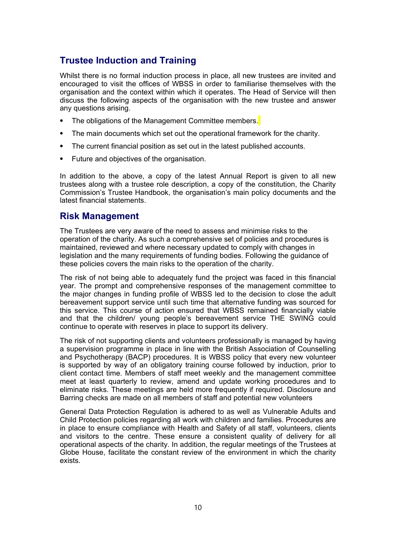### **Trustee Induction and Training**

Whilst there is no formal induction process in place, all new trustees are invited and encouraged to visit the offices of WBSS in order to familiarise themselves with the organisation and the context within which it operates. The Head of Service will then discuss the following aspects of the organisation with the new trustee and answer any questions arising.

- The obligations of the Management Committee members.
- ⦁ The main documents which set out the operational framework for the charity.
- ⦁ The current financial position as set out in the latest published accounts.
- ⦁ Future and objectives of the organisation.

In addition to the above, a copy of the latest Annual Report is given to all new trustees along with a trustee role description, a copy of the constitution, the Charity Commission's Trustee Handbook, the organisation's main policy documents and the latest financial statements.

### **Risk Management**

The Trustees are very aware of the need to assess and minimise risks to the operation of the charity. As such a comprehensive set of policies and procedures is maintained, reviewed and where necessary updated to comply with changes in legislation and the many requirements of funding bodies. Following the guidance of these policies covers the main risks to the operation of the charity.

The risk of not being able to adequately fund the project was faced in this financial year. The prompt and comprehensive responses of the management committee to the major changes in funding profile of WBSS led to the decision to close the adult bereavement support service until such time that alternative funding was sourced for this service. This course of action ensured that WBSS remained financially viable and that the children/ young people's bereavement service THE SWING could continue to operate with reserves in place to support its delivery.

The risk of not supporting clients and volunteers professionally is managed by having a supervision programme in place in line with the British Association of Counselling and Psychotherapy (BACP) procedures. It is WBSS policy that every new volunteer is supported by way of an obligatory training course followed by induction, prior to client contact time. Members of staff meet weekly and the management committee meet at least quarterly to review, amend and update working procedures and to eliminate risks. These meetings are held more frequently if required. Disclosure and Barring checks are made on all members of staff and potential new volunteers

General Data Protection Regulation is adhered to as well as Vulnerable Adults and Child Protection policies regarding all work with children and families. Procedures are in place to ensure compliance with Health and Safety of all staff, volunteers, clients and visitors to the centre. These ensure a consistent quality of delivery for all operational aspects of the charity. In addition, the regular meetings of the Trustees at Globe House, facilitate the constant review of the environment in which the charity exists.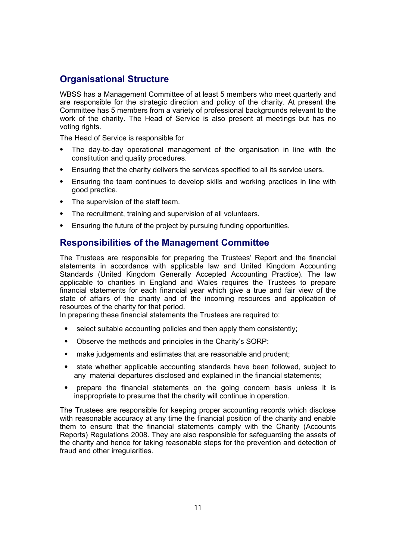### **Organisational Structure**

WBSS has a Management Committee of at least 5 members who meet quarterly and are responsible for the strategic direction and policy of the charity. At present the Committee has 5 members from a variety of professional backgrounds relevant to the work of the charity. The Head of Service is also present at meetings but has no voting rights.

The Head of Service is responsible for

- ⦁ The day-to-day operational management of the organisation in line with the constitution and quality procedures.
- ⦁ Ensuring that the charity delivers the services specified to all its service users.
- ⦁ Ensuring the team continues to develop skills and working practices in line with good practice.
- The supervision of the staff team.
- ⦁ The recruitment, training and supervision of all volunteers.
- ⦁ Ensuring the future of the project by pursuing funding opportunities.

### **Responsibilities of the Management Committee**

The Trustees are responsible for preparing the Trustees' Report and the financial statements in accordance with applicable law and United Kingdom Accounting Standards (United Kingdom Generally Accepted Accounting Practice). The law applicable to charities in England and Wales requires the Trustees to prepare financial statements for each financial year which give a true and fair view of the state of affairs of the charity and of the incoming resources and application of resources of the charity for that period.

In preparing these financial statements the Trustees are required to:

- select suitable accounting policies and then apply them consistently;
- ⦁ Observe the methods and principles in the Charity's SORP:
- ⦁ make judgements and estimates that are reasonable and prudent;
- ⦁ state whether applicable accounting standards have been followed, subject to any material departures disclosed and explained in the financial statements;
- ⦁ prepare the financial statements on the going concern basis unless it is inappropriate to presume that the charity will continue in operation.

The Trustees are responsible for keeping proper accounting records which disclose with reasonable accuracy at any time the financial position of the charity and enable them to ensure that the financial statements comply with the Charity (Accounts Reports) Regulations 2008. They are also responsible for safeguarding the assets of the charity and hence for taking reasonable steps for the prevention and detection of fraud and other irregularities.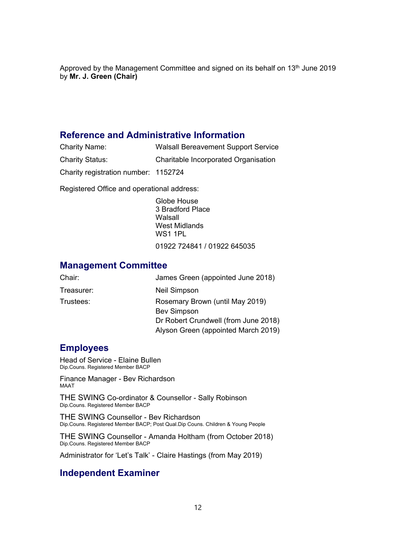Approved by the Management Committee and signed on its behalf on 13<sup>th</sup> June 2019 by **Mr. J. Green (Chair)** 

### **Reference and Administrative Information**

- Charity Name: Walsall Bereavement Support Service
- Charity Status: Charitable Incorporated Organisation

Charity registration number: 1152724

Registered Office and operational address:

Globe House 3 Bradford Place Walsall West Midlands **WS1 1PL** 

01922 724841 / 01922 645035

### **Management Committee**

| Chair:     | James Green (appointed June 2018)    |
|------------|--------------------------------------|
| Treasurer: | Neil Simpson                         |
| Trustees:  | Rosemary Brown (until May 2019)      |
|            | <b>Bev Simpson</b>                   |
|            | Dr Robert Crundwell (from June 2018) |
|            | Alyson Green (appointed March 2019)  |

#### **Employees**

Head of Service - Elaine Bullen Dip.Couns. Registered Member BACP

Finance Manager - Bev Richardson MAAT

THE SWING Co-ordinator & Counsellor - Sally Robinson Dip.Couns. Registered Member BACP

THE SWING Counsellor - Bev Richardson Dip.Couns. Registered Member BACP; Post Qual.Dip Couns. Children & Young People

THE SWING Counsellor - Amanda Holtham (from October 2018) Dip.Couns. Registered Member BACP

Administrator for 'Let's Talk' - Claire Hastings (from May 2019)

### **Independent Examiner**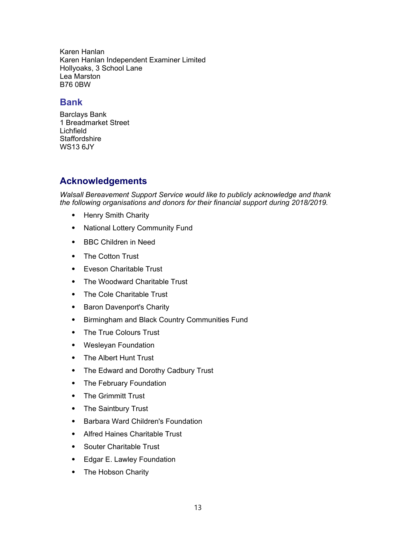Karen Hanlan Karen Hanlan Independent Examiner Limited Hollyoaks, 3 School Lane Lea Marston B76 0BW

### **Bank**

Barclays Bank 1 Breadmarket Street Lichfield **Staffordshire** WS13 6JY

### **Acknowledgements**

*Walsall Bereavement Support Service would like to publicly acknowledge and thank the following organisations and donors for their financial support during 2018/2019.*

- ⦁ Henry Smith Charity
- ⦁ National Lottery Community Fund
- ⦁ BBC Children in Need
- ⦁ The Cotton Trust
- ⦁ Eveson Charitable Trust
- ⦁ The Woodward Charitable Trust
- ⦁ The Cole Charitable Trust
- ⦁ Baron Davenport's Charity
- ⦁ Birmingham and Black Country Communities Fund
- ⦁ The True Colours Trust
- ⦁ Wesleyan Foundation
- ⦁ The Albert Hunt Trust
- ⦁ The Edward and Dorothy Cadbury Trust
- ⦁ The February Foundation
- ⦁ The Grimmitt Trust
- ⦁ The Saintbury Trust
- ⦁ Barbara Ward Children's Foundation
- ⦁ Alfred Haines Charitable Trust
- ⦁ Souter Charitable Trust
- ⦁ Edgar E. Lawley Foundation
- ⦁ The Hobson Charity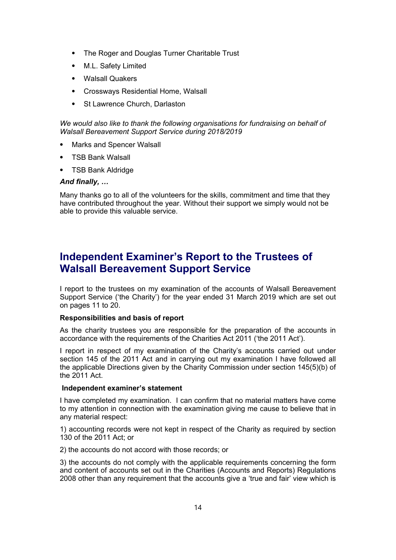- ⦁ The Roger and Douglas Turner Charitable Trust
- ⦁ M.L. Safety Limited
- Walsall Quakers
- ⦁ Crossways Residential Home, Walsall
- ⦁ St Lawrence Church, Darlaston

*We would also like to thank the following organisations for fundraising on behalf of Walsall Bereavement Support Service during 2018/2019*

- ⦁ Marks and Spencer Walsall
- ⦁ TSB Bank Walsall
- ⦁ TSB Bank Aldridge

#### *And finally, …*

Many thanks go to all of the volunteers for the skills, commitment and time that they have contributed throughout the year. Without their support we simply would not be able to provide this valuable service.

## **Independent Examiner's Report to the Trustees of Walsall Bereavement Support Service**

I report to the trustees on my examination of the accounts of Walsall Bereavement Support Service ('the Charity') for the year ended 31 March 2019 which are set out on pages 11 to 20.

#### **Responsibilities and basis of report**

As the charity trustees you are responsible for the preparation of the accounts in accordance with the requirements of the Charities Act 2011 ('the 2011 Act').

I report in respect of my examination of the Charity's accounts carried out under section 145 of the 2011 Act and in carrying out my examination I have followed all the applicable Directions given by the Charity Commission under section 145(5)(b) of the 2011 Act.

#### **Independent examiner's statement**

I have completed my examination. I can confirm that no material matters have come to my attention in connection with the examination giving me cause to believe that in any material respect:

1) accounting records were not kept in respect of the Charity as required by section 130 of the 2011 Act; or

2) the accounts do not accord with those records; or

3) the accounts do not comply with the applicable requirements concerning the form and content of accounts set out in the Charities (Accounts and Reports) Regulations 2008 other than any requirement that the accounts give a 'true and fair' view which is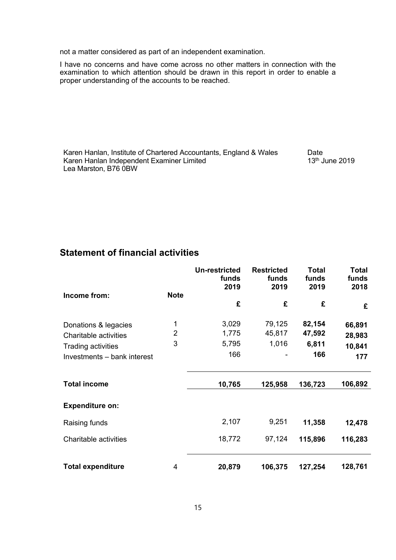not a matter considered as part of an independent examination.

I have no concerns and have come across no other matters in connection with the examination to which attention should be drawn in this report in order to enable a proper understanding of the accounts to be reached.

Karen Hanlan, Institute of Chartered Accountants, England & Wales Date Karen Hanlan Independent Examiner Limited Lea Marston, B76 0BW 13th June 2019

### **Statement of financial activities**

|                                                                            |                     | <b>Un-restricted</b><br>funds<br>2019 | <b>Restricted</b><br>funds<br>2019 | <b>Total</b><br>funds<br>2019 | <b>Total</b><br>funds<br>2018 |
|----------------------------------------------------------------------------|---------------------|---------------------------------------|------------------------------------|-------------------------------|-------------------------------|
| Income from:                                                               | <b>Note</b>         | £                                     | £                                  | £                             | £                             |
| Donations & legacies<br>Charitable activities<br><b>Trading activities</b> | $\overline{2}$<br>3 | 3,029<br>1,775<br>5,795               | 79,125<br>45,817<br>1,016          | 82,154<br>47,592<br>6,811     | 66,891<br>28,983<br>10,841    |
| Investments - bank interest                                                |                     | 166                                   |                                    | 166                           | 177                           |
| <b>Total income</b>                                                        |                     | 10,765                                | 125,958                            | 136,723                       | 106,892                       |
| <b>Expenditure on:</b>                                                     |                     |                                       |                                    |                               |                               |
| Raising funds                                                              |                     | 2,107                                 | 9,251                              | 11,358                        | 12,478                        |
| Charitable activities                                                      |                     | 18,772                                | 97,124                             | 115,896                       | 116,283                       |
| <b>Total expenditure</b>                                                   | 4                   | 20,879                                | 106,375                            | 127,254                       | 128,761                       |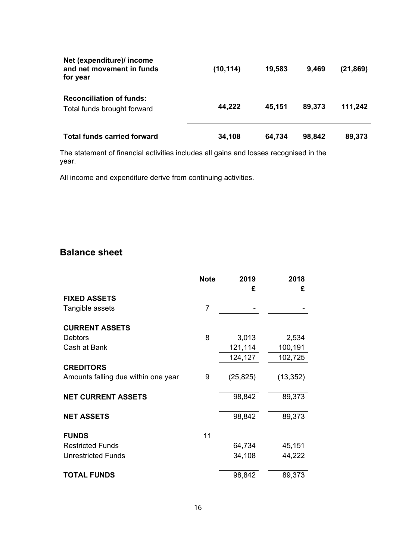| Net (expenditure)/ income<br>and net movement in funds<br>for year | (10, 114) | 19,583 | 9,469  | (21, 869) |
|--------------------------------------------------------------------|-----------|--------|--------|-----------|
| <b>Reconciliation of funds:</b><br>Total funds brought forward     | 44,222    | 45,151 | 89,373 | 111,242   |
| <b>Total funds carried forward</b>                                 | 34,108    | 64,734 | 98,842 | 89,373    |

The statement of financial activities includes all gains and losses recognised in the year.

All income and expenditure derive from continuing activities.

### **Balance sheet**

|                                     | <b>Note</b>    | 2019      | 2018      |
|-------------------------------------|----------------|-----------|-----------|
|                                     |                | £         | £         |
| <b>FIXED ASSETS</b>                 |                |           |           |
| Tangible assets                     | $\overline{7}$ |           |           |
| <b>CURRENT ASSETS</b>               |                |           |           |
| <b>Debtors</b>                      | 8              | 3,013     | 2,534     |
| Cash at Bank                        |                | 121,114   | 100,191   |
|                                     |                | 124,127   | 102,725   |
| <b>CREDITORS</b>                    |                |           |           |
| Amounts falling due within one year | 9              | (25, 825) | (13, 352) |
| <b>NET CURRENT ASSETS</b>           |                | 98,842    | 89,373    |
| <b>NET ASSETS</b>                   |                | 98,842    | 89,373    |
| <b>FUNDS</b>                        | 11             |           |           |
| <b>Restricted Funds</b>             |                | 64,734    | 45,151    |
| <b>Unrestricted Funds</b>           |                | 34,108    | 44,222    |
| <b>TOTAL FUNDS</b>                  |                | 98,842    | 89,373    |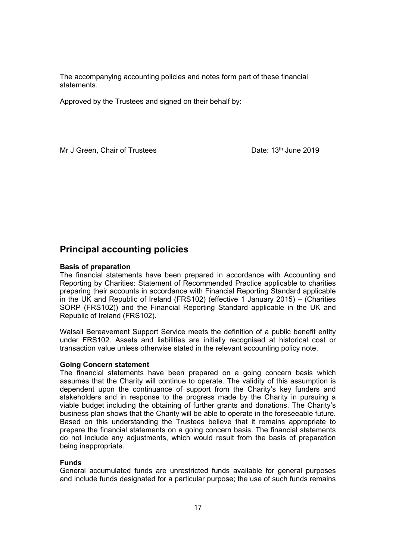The accompanying accounting policies and notes form part of these financial statements.

Approved by the Trustees and signed on their behalf by:

Mr J Green, Chair of Trustees Date: 13<sup>th</sup> June 2019

### **Principal accounting policies**

#### **Basis of preparation**

The financial statements have been prepared in accordance with Accounting and Reporting by Charities: Statement of Recommended Practice applicable to charities preparing their accounts in accordance with Financial Reporting Standard applicable in the UK and Republic of Ireland (FRS102) (effective 1 January 2015) – (Charities SORP (FRS102)) and the Financial Reporting Standard applicable in the UK and Republic of Ireland (FRS102).

Walsall Bereavement Support Service meets the definition of a public benefit entity under FRS102. Assets and liabilities are initially recognised at historical cost or transaction value unless otherwise stated in the relevant accounting policy note.

#### **Going Concern statement**

The financial statements have been prepared on a going concern basis which assumes that the Charity will continue to operate. The validity of this assumption is dependent upon the continuance of support from the Charity's key funders and stakeholders and in response to the progress made by the Charity in pursuing a viable budget including the obtaining of further grants and donations. The Charity's business plan shows that the Charity will be able to operate in the foreseeable future. Based on this understanding the Trustees believe that it remains appropriate to prepare the financial statements on a going concern basis. The financial statements do not include any adjustments, which would result from the basis of preparation being inappropriate.

#### **Funds**

General accumulated funds are unrestricted funds available for general purposes and include funds designated for a particular purpose; the use of such funds remains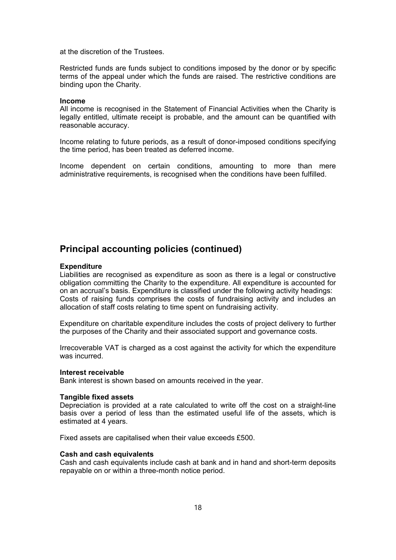at the discretion of the Trustees.

Restricted funds are funds subject to conditions imposed by the donor or by specific terms of the appeal under which the funds are raised. The restrictive conditions are binding upon the Charity.

#### **Income**

All income is recognised in the Statement of Financial Activities when the Charity is legally entitled, ultimate receipt is probable, and the amount can be quantified with reasonable accuracy.

Income relating to future periods, as a result of donor-imposed conditions specifying the time period, has been treated as deferred income.

Income dependent on certain conditions, amounting to more than mere administrative requirements, is recognised when the conditions have been fulfilled.

### **Principal accounting policies (continued)**

#### **Expenditure**

Liabilities are recognised as expenditure as soon as there is a legal or constructive obligation committing the Charity to the expenditure. All expenditure is accounted for on an accrual's basis. Expenditure is classified under the following activity headings: Costs of raising funds comprises the costs of fundraising activity and includes an allocation of staff costs relating to time spent on fundraising activity.

Expenditure on charitable expenditure includes the costs of project delivery to further the purposes of the Charity and their associated support and governance costs.

Irrecoverable VAT is charged as a cost against the activity for which the expenditure was incurred

#### **Interest receivable**

Bank interest is shown based on amounts received in the year.

#### **Tangible fixed assets**

Depreciation is provided at a rate calculated to write off the cost on a straight-line basis over a period of less than the estimated useful life of the assets, which is estimated at 4 years.

Fixed assets are capitalised when their value exceeds £500.

#### **Cash and cash equivalents**

Cash and cash equivalents include cash at bank and in hand and short-term deposits repayable on or within a three-month notice period.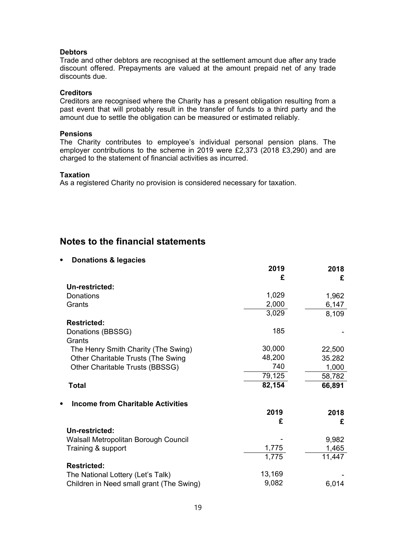#### **Debtors**

Trade and other debtors are recognised at the settlement amount due after any trade discount offered. Prepayments are valued at the amount prepaid net of any trade discounts due.

#### **Creditors**

Creditors are recognised where the Charity has a present obligation resulting from a past event that will probably result in the transfer of funds to a third party and the amount due to settle the obligation can be measured or estimated reliably.

#### **Pensions**

The Charity contributes to employee's individual personal pension plans. The employer contributions to the scheme in 2019 were £2,373 (2018 £3,290) and are charged to the statement of financial activities as incurred.

#### **Taxation**

As a registered Charity no provision is considered necessary for taxation.

### **Notes to the financial statements**

#### ⦁ **Donations & legacies**

|                                                       | LV I J | ZU I U |
|-------------------------------------------------------|--------|--------|
|                                                       | £      | £      |
| Un-restricted:                                        |        |        |
| Donations                                             | 1,029  | 1,962  |
| Grants                                                | 2,000  | 6,147  |
|                                                       | 3,029  | 8,109  |
| <b>Restricted:</b>                                    |        |        |
|                                                       | 185    |        |
| Donations (BBSSG)                                     |        |        |
| Grants                                                |        |        |
| The Henry Smith Charity (The Swing)                   | 30,000 | 22,500 |
| Other Charitable Trusts (The Swing                    | 48,200 | 35.282 |
| Other Charitable Trusts (BBSSG)                       | 740    | 1,000  |
|                                                       | 79,125 | 58,782 |
| <b>Total</b>                                          | 82,154 | 66,891 |
| <b>Income from Charitable Activities</b><br>$\bullet$ |        |        |
|                                                       | 2019   | 2018   |
|                                                       | £      | £      |
| Un-restricted:                                        |        |        |
| Walsall Metropolitan Borough Council                  |        | 9,982  |
| Training & support                                    | 1,775  | 1,465  |
|                                                       | 1,775  | 11,447 |
|                                                       |        |        |
| <b>Restricted:</b>                                    |        |        |
| The National Lottery (Let's Talk)                     | 13,169 |        |
| Children in Need small grant (The Swing)              | 9,082  | 6,014  |

**2019 2018**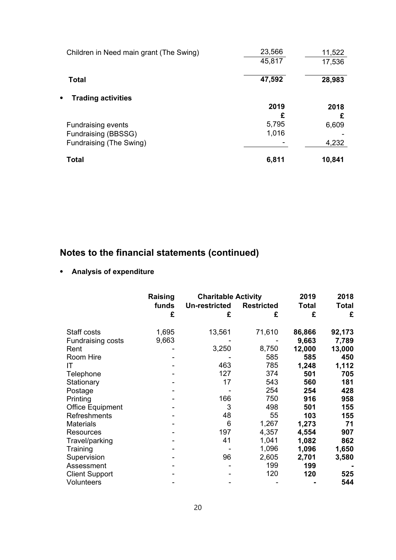| Children in Need main grant (The Swing) | 23,566<br>45,817 | 11,522<br>17,536 |
|-----------------------------------------|------------------|------------------|
| <b>Total</b>                            | 47,592           | 28,983           |
| <b>Trading activities</b><br>$\bullet$  |                  |                  |
|                                         | 2019             | 2018             |
|                                         | £                | £                |
| <b>Fundraising events</b>               | 5,795            | 6,609            |
| Fundraising (BBSSG)                     | 1,016            |                  |
| Fundraising (The Swing)                 |                  | 4,232            |
| Total                                   | 6,811            | 10,841           |

# **Notes to the financial statements (continued)**

### ⦁ **Analysis of expenditure**

|                         | Raising | <b>Charitable Activity</b> |                   | 2019   | 2018   |
|-------------------------|---------|----------------------------|-------------------|--------|--------|
|                         | funds   | <b>Un-restricted</b>       | <b>Restricted</b> | Total  | Total  |
|                         | £       | £                          | £                 | £      | £      |
| Staff costs             | 1,695   | 13,561                     | 71,610            | 86,866 | 92,173 |
| Fundraising costs       | 9,663   |                            |                   | 9,663  | 7,789  |
| Rent                    |         | 3,250                      | 8,750             | 12,000 | 13,000 |
| Room Hire               |         |                            | 585               | 585    | 450    |
| IT                      |         | 463                        | 785               | 1,248  | 1,112  |
| Telephone               |         | 127                        | 374               | 501    | 705    |
| Stationary              |         | 17                         | 543               | 560    | 181    |
| Postage                 |         |                            | 254               | 254    | 428    |
| Printing                |         | 166                        | 750               | 916    | 958    |
| <b>Office Equipment</b> |         | 3                          | 498               | 501    | 155    |
| <b>Refreshments</b>     |         | 48                         | 55                | 103    | 155    |
| <b>Materials</b>        |         | 6                          | 1,267             | 1,273  | 71     |
| Resources               |         | 197                        | 4,357             | 4,554  | 907    |
| Travel/parking          |         | 41                         | 1,041             | 1,082  | 862    |
| Training                |         |                            | 1,096             | 1,096  | 1,650  |
| Supervision             |         | 96                         | 2,605             | 2,701  | 3,580  |
| Assessment              |         |                            | 199               | 199    |        |
| <b>Client Support</b>   |         |                            | 120               | 120    | 525    |
| Volunteers              |         |                            |                   |        | 544    |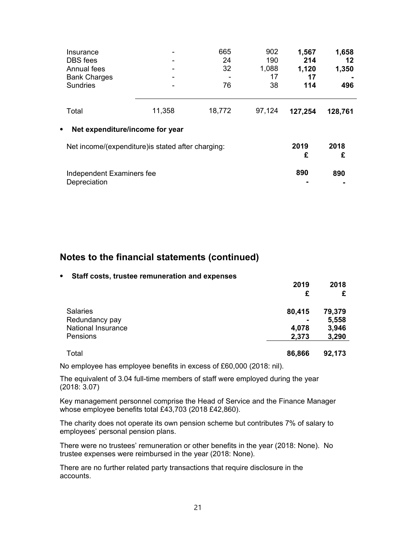| Insurance<br><b>DBS</b> fees<br>Annual fees<br><b>Bank Charges</b><br><b>Sundries</b> | -      | 665<br>24<br>32<br>76 | 902<br>190<br>1,088<br>17<br>38 | 1,567<br>214<br>1,120<br>17<br>114 | 1,658<br>12<br>1,350<br>496 |
|---------------------------------------------------------------------------------------|--------|-----------------------|---------------------------------|------------------------------------|-----------------------------|
| Total                                                                                 | 11,358 | 18,772                | 97,124                          | 127,254                            | 128,761                     |
| Net expenditure/income for year<br>$\bullet$                                          |        |                       |                                 |                                    |                             |
| Net income/(expenditure) is stated after charging:                                    |        |                       |                                 | 2019<br>£                          | 2018<br>£                   |
| Independent Examiners fee<br>Depreciation                                             |        |                       |                                 | 890                                | 890                         |

### **Notes to the financial statements (continued)**

#### ⦁ **Staff costs, trustee remuneration and expenses**

|                    | 2019   | 2018   |
|--------------------|--------|--------|
|                    | £      |        |
| <b>Salaries</b>    | 80,415 | 79,379 |
| Redundancy pay     |        | 5,558  |
| National Insurance | 4,078  | 3,946  |
| Pensions           | 2,373  | 3,290  |
| Total              | 86,866 | 92,173 |

No employee has employee benefits in excess of £60,000 (2018: nil).

The equivalent of 3.04 full-time members of staff were employed during the year (2018: 3.07)

Key management personnel comprise the Head of Service and the Finance Manager whose employee benefits total £43,703 (2018 £42,860).

The charity does not operate its own pension scheme but contributes 7% of salary to employees' personal pension plans.

There were no trustees' remuneration or other benefits in the year (2018: None). No trustee expenses were reimbursed in the year (2018: None).

There are no further related party transactions that require disclosure in the accounts.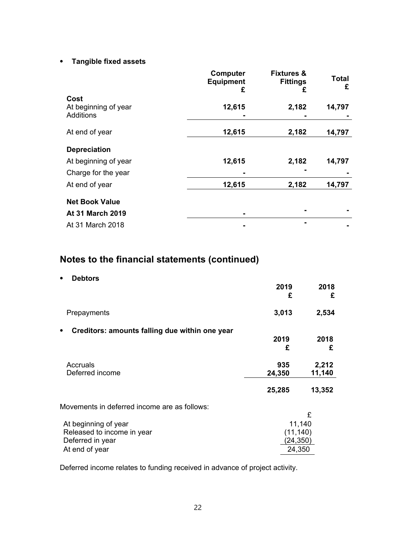#### ⦁ **Tangible fixed assets**

|                                                  | <b>Computer</b><br><b>Equipment</b><br>£ | <b>Fixtures &amp;</b><br><b>Fittings</b><br>£ | <b>Total</b><br>£ |
|--------------------------------------------------|------------------------------------------|-----------------------------------------------|-------------------|
| Cost<br>At beginning of year<br><b>Additions</b> | 12,615                                   | 2,182                                         | 14,797            |
| At end of year                                   | 12,615                                   | 2,182                                         | 14,797            |
| <b>Depreciation</b>                              |                                          |                                               |                   |
| At beginning of year                             | 12,615                                   | 2,182                                         | 14,797            |
| Charge for the year                              |                                          |                                               |                   |
| At end of year                                   | 12,615                                   | 2,182                                         | 14,797            |
| <b>Net Book Value</b>                            |                                          |                                               |                   |
| At 31 March 2019                                 |                                          |                                               |                   |
| At 31 March 2018                                 |                                          |                                               |                   |

# **Notes to the financial statements (continued)**

⦁ **Debtors**

|                                                     | 2019<br>£ | 2018<br>£ |
|-----------------------------------------------------|-----------|-----------|
| Prepayments                                         | 3,013     | 2,534     |
| Creditors: amounts falling due within one year<br>٠ |           |           |
|                                                     | 2019<br>£ | 2018<br>£ |
| Accruals                                            | 935       | 2,212     |
| Deferred income                                     | 24,350    | 11,140    |
|                                                     | 25,285    | 13,352    |
| Movements in deferred income are as follows:        |           |           |
| At beginning of year                                | 11,140    | £         |
| Released to income in year                          | (11, 140) |           |
| Deferred in year                                    | (24, 350) |           |
| At end of year                                      | 24,350    |           |

Deferred income relates to funding received in advance of project activity.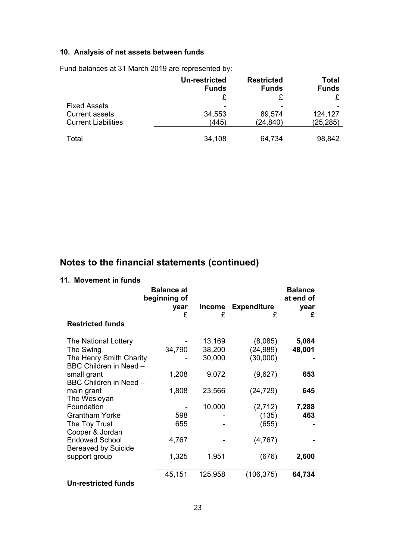### **10. Analysis of net assets between funds**

Fund balances at 31 March 2019 are represented by:

|                            | Un-restricted<br><b>Funds</b> | <b>Restricted</b><br><b>Funds</b> | Total<br><b>Funds</b> |
|----------------------------|-------------------------------|-----------------------------------|-----------------------|
|                            |                               |                                   |                       |
| <b>Fixed Assets</b>        |                               |                                   |                       |
| <b>Current assets</b>      | 34,553                        | 89,574                            | 124,127               |
| <b>Current Liabilities</b> | (445)                         | (24, 840)                         | (25, 285)             |
| Total                      | 34,108                        | 64,734                            | 98,842                |

# **Notes to the financial statements (continued)**

#### **11. Movement in funds**

|                             | <b>Balance at</b><br>beginning of |               |                    | <b>Balance</b><br>at end of |
|-----------------------------|-----------------------------------|---------------|--------------------|-----------------------------|
|                             | year                              | <b>Income</b> | <b>Expenditure</b> | year                        |
| <b>Restricted funds</b>     | £                                 | £             | £                  | £                           |
| <b>The National Lottery</b> |                                   | 13,169        | (8,085)            | 5,084                       |
| The Swing                   | 34,790                            | 38,200        | (24, 989)          | 48,001                      |
| The Henry Smith Charity     |                                   | 30,000        | (30,000)           |                             |
| BBC Children in Need -      |                                   |               |                    |                             |
| small grant                 | 1,208                             | 9,072         | (9,627)            | 653                         |
| BBC Children in Need -      |                                   |               |                    |                             |
| main grant                  | 1,808                             | 23,566        | (24, 729)          | 645                         |
| The Wesleyan<br>Foundation  |                                   | 10,000        | (2,712)            | 7,288                       |
| <b>Grantham Yorke</b>       | 598                               |               | (135)              | 463                         |
| The Toy Trust               | 655                               |               | (655)              |                             |
| Cooper & Jordan             |                                   |               |                    |                             |
| <b>Endowed School</b>       | 4,767                             |               | (4,767)            |                             |
| <b>Bereaved by Suicide</b>  |                                   |               |                    |                             |
| support group               | 1,325                             | 1,951         | (676)              | 2,600                       |
|                             |                                   |               |                    |                             |
|                             | 45,151                            | 125,958       | (106, 375)         | 64,734                      |
| <b>Un-restricted funds</b>  |                                   |               |                    |                             |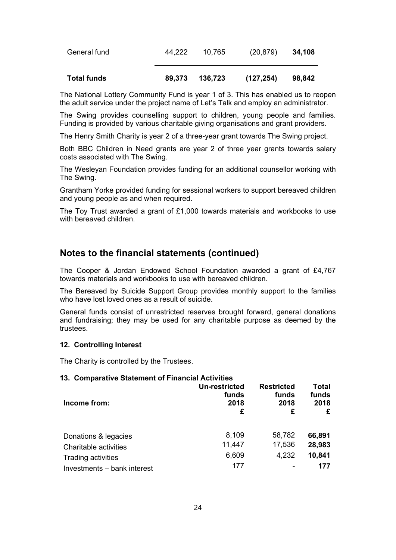| <b>Total funds</b> | 89,373 | 136,723 | (127, 254) | 98,842 |
|--------------------|--------|---------|------------|--------|
| General fund       | 44.222 | 10.765  | (20, 879)  | 34,108 |

The National Lottery Community Fund is year 1 of 3. This has enabled us to reopen the adult service under the project name of Let's Talk and employ an administrator.

The Swing provides counselling support to children, young people and families. Funding is provided by various charitable giving organisations and grant providers.

The Henry Smith Charity is year 2 of a three-year grant towards The Swing project.

Both BBC Children in Need grants are year 2 of three year grants towards salary costs associated with The Swing.

The Wesleyan Foundation provides funding for an additional counsellor working with The Swing.

Grantham Yorke provided funding for sessional workers to support bereaved children and young people as and when required.

The Toy Trust awarded a grant of £1,000 towards materials and workbooks to use with bereaved children.

### **Notes to the financial statements (continued)**

The Cooper & Jordan Endowed School Foundation awarded a grant of £4,767 towards materials and workbooks to use with bereaved children.

The Bereaved by Suicide Support Group provides monthly support to the families who have lost loved ones as a result of suicide.

General funds consist of unrestricted reserves brought forward, general donations and fundraising; they may be used for any charitable purpose as deemed by the trustees.

#### **12. Controlling Interest**

The Charity is controlled by the Trustees.

#### **13. Comparative Statement of Financial Activities**

| Income from:                | Un-restricted<br>funds<br>2018<br>£ | <b>Restricted</b><br>funds<br>2018<br>£ | Total<br>funds<br>2018<br>£ |
|-----------------------------|-------------------------------------|-----------------------------------------|-----------------------------|
| Donations & legacies        | 8,109                               | 58,782                                  | 66,891                      |
| Charitable activities       | 11,447                              | 17,536                                  | 28,983                      |
| Trading activities          | 6,609                               | 4,232                                   | 10,841                      |
| Investments - bank interest | 177                                 |                                         | 177                         |